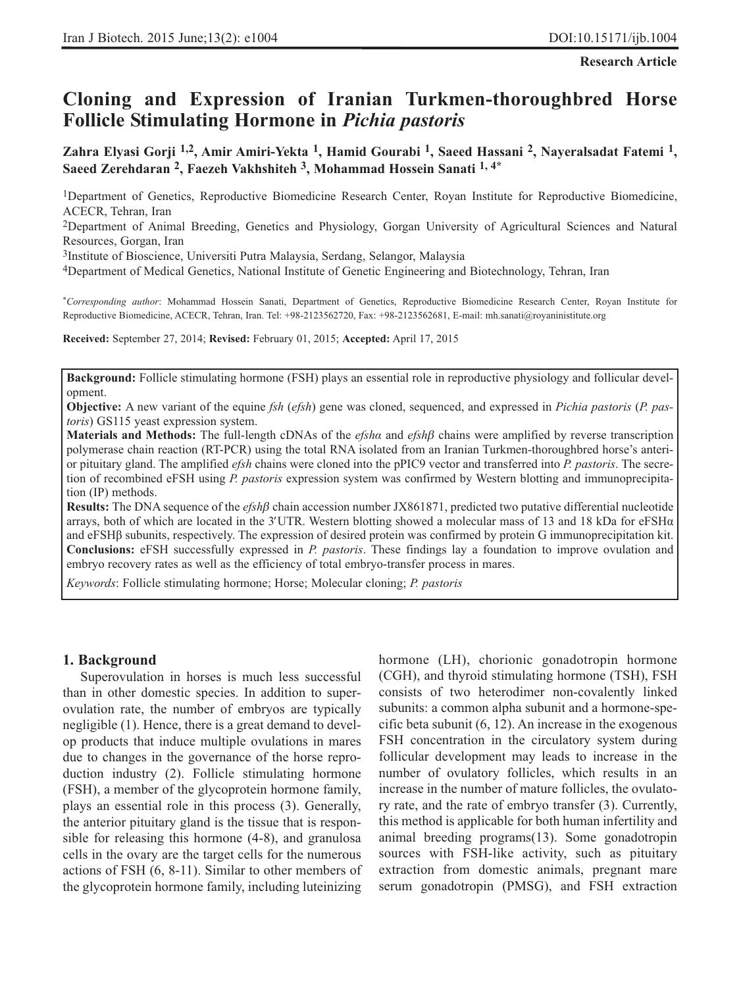**Research Article**

# **Cloning and Expression of Iranian Turkmen-thoroughbred Horse Follicle Stimulating Hormone in** *Pichia pastoris*

**Zahra Elyasi Gorji 1,2, Amir Amiri-Yekta 1, Hamid Gourabi 1, Saeed Hassani 2, Nayeralsadat Fatemi 1, Saeed Zerehdaran 2, Faezeh Vakhshiteh 3, Mohammad Hossein Sanati 1, 4\***

1Department of Genetics, Reproductive Biomedicine Research Center, Royan Institute for Reproductive Biomedicine, ACECR, Tehran, Iran

2Department of Animal Breeding, Genetics and Physiology, Gorgan University of Agricultural Sciences and Natural Resources, Gorgan, Iran

3Institute of Bioscience, Universiti Putra Malaysia, Serdang, Selangor, Malaysia

4Department of Medical Genetics, National Institute of Genetic Engineering and Biotechnology, Tehran, Iran

\**Corresponding author*: Mohammad Hossein Sanati, Department of Genetics, Reproductive Biomedicine Research Center, Royan Institute for Reproductive Biomedicine, ACECR, Tehran, Iran. Tel: +98-2123562720, Fax: +98-2123562681, E-mail: mh.sanati@royaninistitute.org

**Received:** September 27, 2014; **Revised:** February 01, 2015; **Accepted:** April 17, 2015

**Background:** Follicle stimulating hormone (FSH) plays an essential role in reproductive physiology and follicular development.

**Objective:** A new variant of the equine *fsh* (*efsh*) gene was cloned, sequenced, and expressed in *Pichia pastoris* (*P. pastoris*) GS115 yeast expression system.

**Materials and Methods:** The full-length cDNAs of the *efshα* and *efsh*β chains were amplified by reverse transcription polymerase chain reaction (RT-PCR) using the total RNA isolated from an Iranian Turkmen-thoroughbred horse's anterior pituitary gland. The amplified *efsh* chains were cloned into the pPIC9 vector and transferred into *P. pastoris*. The secretion of recombined eFSH using *P. pastoris* expression system was confirmed by Western blotting and immunoprecipitation (IP) methods.

**Results:** The DNA sequence of the *efsh*β chain accession number JX861871, predicted two putative differential nucleotide arrays, both of which are located in the 3′UTR. Western blotting showed a molecular mass of 13 and 18 kDa for eFSH $\alpha$ and eFSHβ subunits, respectively. The expression of desired protein was confirmed by protein G immunoprecipitation kit. **Conclusions:** eFSH successfully expressed in *P. pastoris*. These findings lay a foundation to improve ovulation and embryo recovery rates as well as the efficiency of total embryo-transfer process in mares.

*Keywords*: Follicle stimulating hormone; Horse; Molecular cloning; *P. pastoris*

#### **1. Background**

Superovulation in horses is much less successful than in other domestic species. In addition to superovulation rate, the number of embryos are typically negligible (1). Hence, there is a great demand to develop products that induce multiple ovulations in mares due to changes in the governance of the horse reproduction industry (2). Follicle stimulating hormone (FSH), a member of the glycoprotein hormone family, plays an essential role in this process (3). Generally, the anterior pituitary gland is the tissue that is responsible for releasing this hormone (4-8), and granulosa cells in the ovary are the target cells for the numerous actions of FSH (6, 8-11). Similar to other members of the glycoprotein hormone family, including luteinizing hormone (LH), chorionic gonadotropin hormone (CGH), and thyroid stimulating hormone (TSH), FSH consists of two heterodimer non-covalently linked subunits: a common alpha subunit and a hormone-specific beta subunit (6, 12). An increase in the exogenous FSH concentration in the circulatory system during follicular development may leads to increase in the number of ovulatory follicles, which results in an increase in the number of mature follicles, the ovulatory rate, and the rate of embryo transfer (3). Currently, this method is applicable for both human infertility and animal breeding programs(13). Some gonadotropin sources with FSH-like activity, such as pituitary extraction from domestic animals, pregnant mare serum gonadotropin (PMSG), and FSH extraction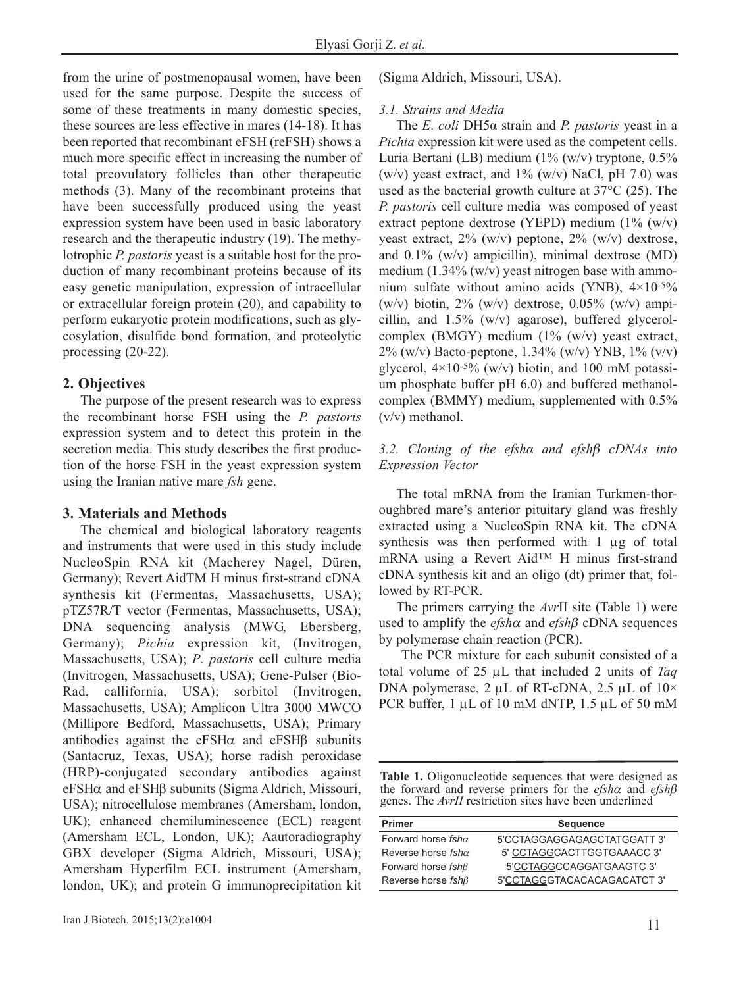from the urine of postmenopausal women, have been used for the same purpose. Despite the success of some of these treatments in many domestic species, these sources are less effective in mares (14-18). It has been reported that recombinant eFSH (reFSH) shows a much more specific effect in increasing the number of total preovulatory follicles than other therapeutic methods (3). Many of the recombinant proteins that have been successfully produced using the yeast expression system have been used in basic laboratory research and the therapeutic industry (19). The methylotrophic *P. pastoris* yeast is a suitable host for the production of many recombinant proteins because of its easy genetic manipulation, expression of intracellular or extracellular foreign protein (20), and capability to perform eukaryotic protein modifications, such as glycosylation, disulfide bond formation, and proteolytic processing (20-22).

# **2. Objectives**

The purpose of the present research was to express the recombinant horse FSH using the *P. pastoris* expression system and to detect this protein in the secretion media. This study describes the first production of the horse FSH in the yeast expression system using the Iranian native mare *fsh* gene.

## **3. Materials and Methods**

The chemical and biological laboratory reagents and instruments that were used in this study include NucleoSpin RNA kit (Macherey Nagel, Düren, Germany); Revert AidTM H minus first-strand cDNA synthesis kit (Fermentas, Massachusetts, USA); pTZ57R/T vector (Fermentas, Massachusetts, USA); DNA sequencing analysis (MWG, Ebersberg, Germany); *Pichia* expression kit, (Invitrogen, Massachusetts, USA); *P*. *pastoris* cell culture media (Invitrogen, Massachusetts, USA); Gene-Pulser (Bio-Rad, callifornia, USA); sorbitol (Invitrogen, Massachusetts, USA); Amplicon Ultra 3000 MWCO (Millipore Bedford, Massachusetts, USA); Primary antibodies against the eFSH $\alpha$  and eFSH $\beta$  subunits (Santacruz, Texas, USA); horse radish peroxidase (HRP)-conjugated secondary antibodies against eFSHα and eFSHβ subunits (Sigma Aldrich, Missouri, USA); nitrocellulose membranes (Amersham, london, UK); enhanced chemiluminescence (ECL) reagent (Amersham ECL, London, UK); Aautoradiography GBX developer (Sigma Aldrich, Missouri, USA); Amersham Hyperfilm ECL instrument (Amersham, london, UK); and protein G immunoprecipitation kit (Sigma Aldrich, Missouri, USA).

#### *3.1. Strains and Media*

The *E*. *coli* DH5α strain and *P. pastoris* yeast in a *Pichia* expression kit were used as the competent cells. Luria Bertani (LB) medium (1% (w/v) tryptone, 0.5% (w/v) yeast extract, and  $1\%$  (w/v) NaCl, pH 7.0) was used as the bacterial growth culture at 37°C (25). The *P. pastoris* cell culture media was composed of yeast extract peptone dextrose (YEPD) medium  $(1\%$  (w/v) yeast extract,  $2\%$  (w/v) peptone,  $2\%$  (w/v) dextrose, and 0.1% (w/v) ampicillin), minimal dextrose (MD) medium  $(1.34\%$  (w/v) yeast nitrogen base with ammonium sulfate without amino acids (YNB), 4×10-5% (w/v) biotin,  $2\%$  (w/v) dextrose, 0.05% (w/v) ampicillin, and  $1.5\%$  (w/v) agarose), buffered glycerolcomplex (BMGY) medium (1% (w/v) yeast extract, 2% (w/v) Bacto-peptone,  $1.34\%$  (w/v) YNB,  $1\%$  (v/v) glycerol,  $4\times10^{-5\%}$  (w/v) biotin, and 100 mM potassium phosphate buffer pH 6.0) and buffered methanolcomplex (BMMY) medium, supplemented with 0.5% (v/v) methanol.

# *3.2. Cloning of the efshα and efsh*β *cDNAs into Expression Vector*

The total mRNA from the Iranian Turkmen-thoroughbred mare's anterior pituitary gland was freshly extracted using a NucleoSpin RNA kit. The cDNA synthesis was then performed with 1 μg of total mRNA using a Revert AidTM H minus first-strand cDNA synthesis kit and an oligo (dt) primer that, followed by RT-PCR.

The primers carrying the *Avr*II site (Table 1) were used to amplify the *efsh*<sup>α</sup> and *efsh*β cDNA sequences by polymerase chain reaction (PCR).

The PCR mixture for each subunit consisted of a total volume of 25 μL that included 2 units of *Taq* DNA polymerase, 2 μL of RT-cDNA, 2.5 μL of 10× PCR buffer, 1 μL of 10 mM dNTP, 1.5 μL of 50 mM

**Table 1.** Oligonucleotide sequences that were designed as the forward and reverse primers for the *efsh*<sup>α</sup> and *efsh*β genes. The *AvrII* restriction sites have been underlined

| <b>Primer</b>             | <b>Sequence</b>             |
|---------------------------|-----------------------------|
| Forward horse $fsh\alpha$ | 5'CCTAGGAGGAGAGCTATGGATT 3' |
| Reverse horse $fsh\alpha$ | 5' CCTAGGCACTTGGTGAAACC 3'  |
| Forward horse $fsh\beta$  | 5'CCTAGGCCAGGATGAAGTC 3'    |
| Reverse horse $fsh\beta$  | 5'CCTAGGGTACACACAGACATCT3'  |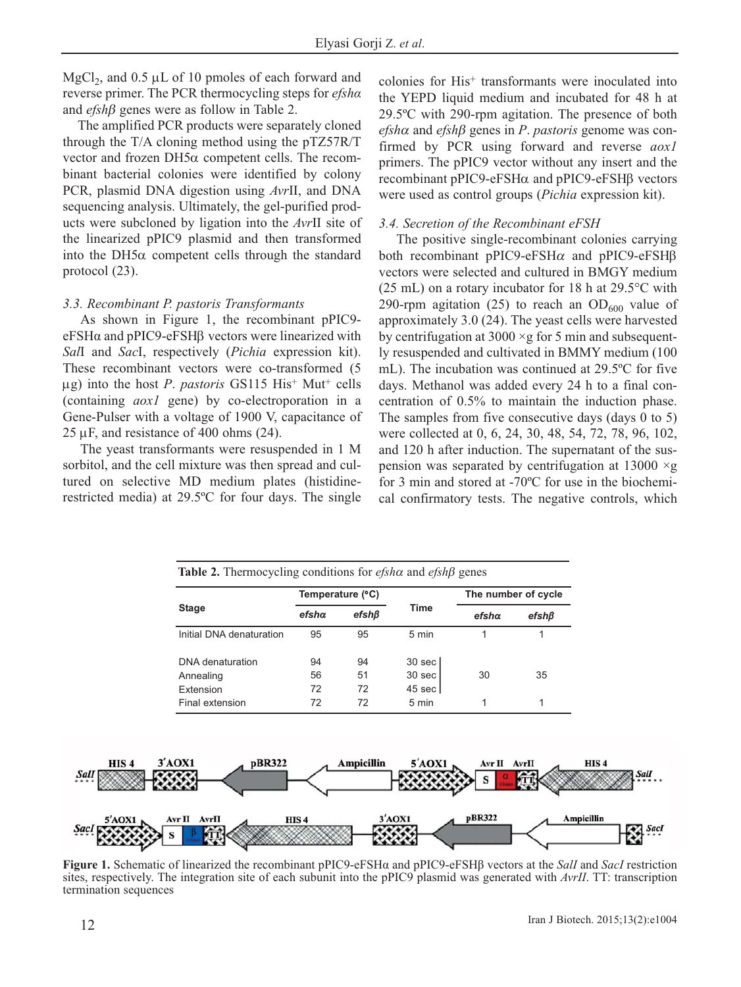MgCl<sub>2</sub>, and  $0.5 \mu L$  of 10 pmoles of each forward and reverse primer. The PCR thermocycling steps for *efshα* and *efsh*β genes were as follow in Table 2.

The amplified PCR products were separately cloned through the T/A cloning method using the pTZ57R/T vector and frozen DH5α competent cells. The recombinant bacterial colonies were identified by colony PCR, plasmid DNA digestion using *Avr*II, and DNA sequencing analysis. Ultimately, the gel-purified products were subcloned by ligation into the *Avr*II site of the linearized pPIC9 plasmid and then transformed into the DH5 $\alpha$  competent cells through the standard protocol (23).

# *3.3. Recombinant P. pastoris Transformants*

As shown in Figure 1, the recombinant pPIC9 eFSHα and pPIC9-eFSHβ vectors were linearized with *Sal*I and *Sac*I, respectively (*Pichia* expression kit). These recombinant vectors were co-transformed (5 μg) into the host *P*. *pastoris* GS115 His+ Mut+ cells (containing *aox1* gene) by co-electroporation in a Gene-Pulser with a voltage of 1900 V, capacitance of  $25 \mu$ F, and resistance of 400 ohms (24).

The yeast transformants were resuspended in 1 M sorbitol, and the cell mixture was then spread and cultured on selective MD medium plates (histidinerestricted media) at 29.5ºC for four days. The single colonies for His+ transformants were inoculated into the YEPD liquid medium and incubated for 48 h at 29.5ºC with 290-rpm agitation. The presence of both *efsh*<sup>α</sup> and *efsh*β genes in *P*. *pastoris* genome was confirmed by PCR using forward and reverse *aox1* primers. The pPIC9 vector without any insert and the recombinant pPIC9-eFSHα and pPIC9-eFSHβ vectors were used as control groups (*Pichia* expression kit).

# *3.4. Secretion of the Recombinant eFSH*

The positive single-recombinant colonies carrying both recombinant pPIC9-eFSH $\alpha$  and pPIC9-eFSH $\beta$ vectors were selected and cultured in BMGY medium (25 mL) on a rotary incubator for 18 h at 29.5°C with 290-rpm agitation (25) to reach an  $OD<sub>600</sub>$  value of approximately 3.0 (24). The yeast cells were harvested by centrifugation at  $3000 \times g$  for 5 min and subsequently resuspended and cultivated in BMMY medium (100 mL). The incubation was continued at 29.5ºC for five days. Methanol was added every 24 h to a final concentration of 0.5% to maintain the induction phase. The samples from five consecutive days (days 0 to 5) were collected at 0, 6, 24, 30, 48, 54, 72, 78, 96, 102, and 120 h after induction. The supernatant of the suspension was separated by centrifugation at  $13000 \times g$ for 3 min and stored at -70ºC for use in the biochemical confirmatory tests. The negative controls, which

| <b>Table 2.</b> Thermocycling conditions for <i>efsha</i> and <i>efsh</i> $\beta$ genes |                  |       |                  |                     |             |  |
|-----------------------------------------------------------------------------------------|------------------|-------|------------------|---------------------|-------------|--|
|                                                                                         | Temperature (°C) |       |                  | The number of cycle |             |  |
| <b>Stage</b>                                                                            | efsha            | efshB | Time             | $efsh\alpha$        | $efsh\beta$ |  |
| Initial DNA denaturation                                                                | 95               | 95    | 5 min            |                     |             |  |
| DNA denaturation                                                                        | 94               | 94    | $30$ sec $ $     |                     |             |  |
| Annealing                                                                               | 56               | 51    | 30 sec           | 30                  | 35          |  |
| Extension                                                                               | 72               | 72    | $45$ sec $\vert$ |                     |             |  |
| Final extension                                                                         | 72               | 72    | $5 \text{ min}$  |                     | 1           |  |



**Figure 1.** Schematic of linearized the recombinant pPIC9-eFSHα and pPIC9-eFSHβ vectors at the *SalI* and *SacI* restriction sites, respectively. The integration site of each subunit into the pPIC9 plasmid was generated with *AvrII*. TT: transcription termination sequences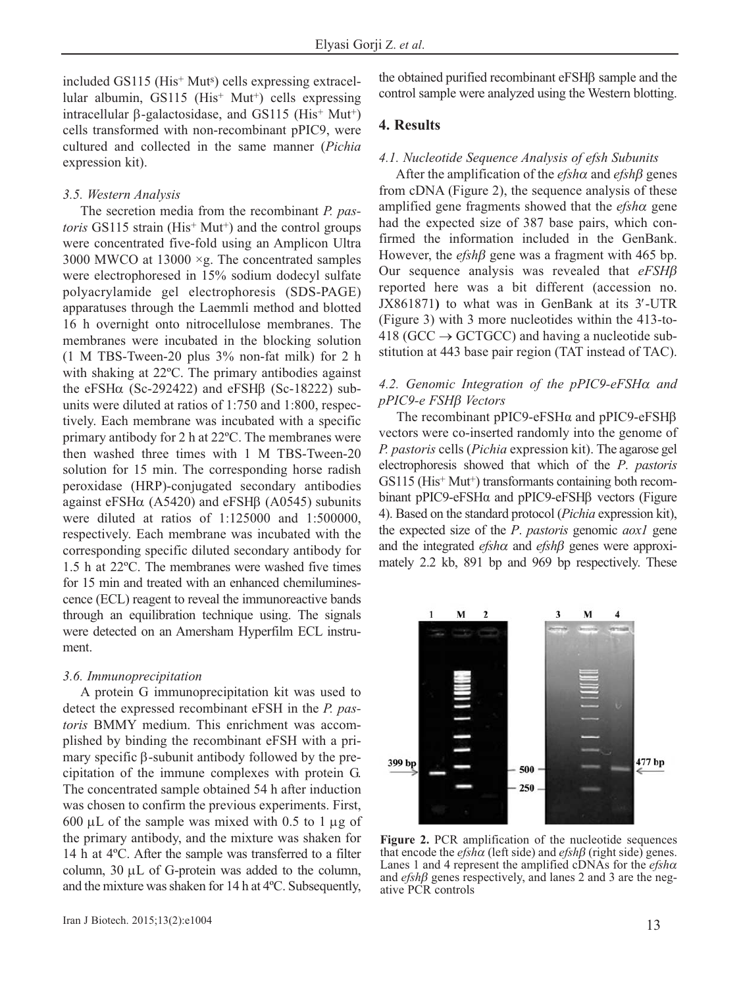included GS115 (His+ Muts) cells expressing extracellular albumin, GS115 ( $His<sup>+</sup> Mut<sup>+</sup>$ ) cells expressing intracellular  $\beta$ -galactosidase, and GS115 (His<sup>+</sup> Mut<sup>+</sup>) cells transformed with non-recombinant pPIC9, were cultured and collected in the same manner (*Pichia* expression kit).

#### *3.5. Western Analysis*

The secretion media from the recombinant *P. pastoris* GS115 strain (His<sup>+</sup> Mut<sup>+</sup>) and the control groups were concentrated five-fold using an Amplicon Ultra 3000 MWCO at  $13000 \times g$ . The concentrated samples were electrophoresed in 15% sodium dodecyl sulfate polyacrylamide gel electrophoresis (SDS-PAGE) apparatuses through the Laemmli method and blotted 16 h overnight onto nitrocellulose membranes. The membranes were incubated in the blocking solution (1 M TBS-Tween-20 plus 3% non-fat milk) for 2 h with shaking at 22ºC. The primary antibodies against the eFSH $\alpha$  (Sc-292422) and eFSH $\beta$  (Sc-18222) subunits were diluted at ratios of 1:750 and 1:800, respectively. Each membrane was incubated with a specific primary antibody for 2 h at 22ºC. The membranes were then washed three times with 1 M TBS-Tween-20 solution for 15 min. The corresponding horse radish peroxidase (HRP)-conjugated secondary antibodies against eFSHα (A5420) and eFSHβ (A0545) subunits were diluted at ratios of 1:125000 and 1:500000, respectively. Each membrane was incubated with the corresponding specific diluted secondary antibody for 1.5 h at 22ºC. The membranes were washed five times for 15 min and treated with an enhanced chemiluminescence (ECL) reagent to reveal the immunoreactive bands through an equilibration technique using. The signals were detected on an Amersham Hyperfilm ECL instrument.

## *3.6. Immunoprecipitation*

A protein G immunoprecipitation kit was used to detect the expressed recombinant eFSH in the *P. pastoris* BMMY medium. This enrichment was accomplished by binding the recombinant eFSH with a primary specific β-subunit antibody followed by the precipitation of the immune complexes with protein G. The concentrated sample obtained 54 h after induction was chosen to confirm the previous experiments. First, 600 μL of the sample was mixed with 0.5 to 1 μg of the primary antibody, and the mixture was shaken for 14 h at 4ºC. After the sample was transferred to a filter column, 30 μL of G-protein was added to the column, and the mixture was shaken for 14 h at 4ºC. Subsequently,

the obtained purified recombinant eFSHβ sample and the control sample were analyzed using the Western blotting.

# **4. Results**

#### *4.1. Nucleotide Sequence Analysis of efsh Subunits*

After the amplification of the *efsh*<sup>α</sup> and *efsh*β genes from cDNA (Figure 2), the sequence analysis of these amplified gene fragments showed that the *efsh*<sup>α</sup> gene had the expected size of 387 base pairs, which confirmed the information included in the GenBank. However, the *efsh*β gene was a fragment with 465 bp. Our sequence analysis was revealed that *eFSH*β reported here was a bit different (accession no. JX861871**)** to what was in GenBank at its 3′-UTR (Figure 3) with 3 more nucleotides within the 413-to-418 (GCC  $\rightarrow$  GCTGCC) and having a nucleotide substitution at 443 base pair region (TAT instead of TAC).

# *4.2. Genomic Integration of the pPIC9-eFSH*<sup>α</sup> *and pPIC9-e FSH*β *Vectors*

The recombinant pPIC9-eFSHα and pPIC9-eFSHβ vectors were co-inserted randomly into the genome of *P. pastoris* cells (*Pichia* expression kit). The agarose gel electrophoresis showed that which of the *P*. *pastoris* GS115 (His<sup>+</sup> Mut<sup>+</sup>) transformants containing both recombinant pPIC9-eFSHα and pPIC9-eFSHβ vectors (Figure 4). Based on the standard protocol (*Pichia* expression kit), the expected size of the *P*. *pastoris* genomic *aox1* gene and the integrated *efsh*<sup>α</sup> and *efsh*β genes were approximately 2.2 kb, 891 bp and 969 bp respectively. These



**Figure 2.** PCR amplification of the nucleotide sequences that encode the *efsh*<sup>α</sup> (left side) and *efsh*β (right side) genes. Lanes 1 and 4 represent the amplified cDNAs for the *efsh*<sup>α</sup> and *efsh*β genes respectively, and lanes 2 and 3 are the negative PCR controls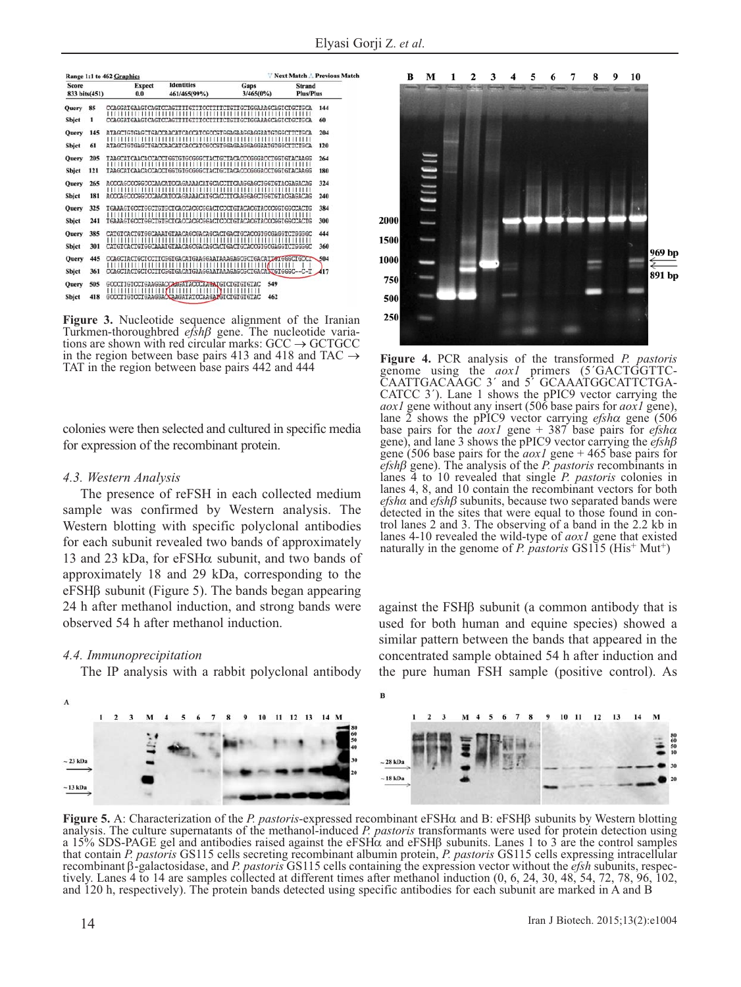| Score<br>833 bits(451) |     | <b>Expect</b><br>0.0 |  | <b>Identities</b><br>461/465(99%)                                                                       | Gaps<br>$3/465(0\%)$               | <b>Strand</b><br><b>Plus/Plus</b> |  |
|------------------------|-----|----------------------|--|---------------------------------------------------------------------------------------------------------|------------------------------------|-----------------------------------|--|
| Query                  | 85  |                      |  | CCAGGATGAAGTCAGTCCAGTTTTGTTTCCTTTTCTGTTGCTGGAAAGCAGTCTGCTGCA<br><u> 1111111111111111111111111111111</u> | 1111<br>,,,,,,,,,,,,,,,,,,,,<br>11 | 144                               |  |
| Sbjet                  | 1   |                      |  | CCAGGATGAAGTCAGTCCAGTTITGTTTCCTTTTCTGTTGCTGGAAAGCAGTCTGCTGCA                                            |                                    | 60                                |  |
| Query                  | 145 |                      |  | ataGCIGIGAGCIGACCAACAICACCAICGCCGIGGAGAAGGAGGAAIGIGCCIICIGCA                                            |                                    | 204                               |  |
| Sbjet                  | 61  |                      |  | ATAGCIGIGAGCIGACCAACATCACCATCGCCGIGGAGGAAGGAATGTGGCITCIGCA                                              |                                    | 120                               |  |
| Query                  | 205 |                      |  | TAAGCATCAACACCACCTGGTGCGGGGCTACTGCTACACCCGGGACCTGGTGTACAAGG                                             |                                    | 264                               |  |
| Sbjet                  | 121 |                      |  | TAAGCATCAACACCACCIGGIGIGCGGGCIACIGCIACACCCGGGACCIGGIGIACAAGG                                            |                                    | 180                               |  |
| Query                  | 265 |                      |  | <i>MCCCAGCCCGGCCCAACMTCCAGMAAACMTGCACCTTCAAGGAGCTGGTGTACGAGACAG</i>                                     |                                    | 324                               |  |
| Sbjct                  | 181 |                      |  | ACCCAGCCCGGCCCAACATCCAGAAAACATGCACCTTCAAGGAGCIGGTGTACGAGACAG                                            |                                    | 240                               |  |
| Query                  | 325 |                      |  | TGAAAGTGCCTGCCTGTGCTCACCACGCGGACTCCCCTGTACACGTACCCGGTGGCCACTG                                           |                                    | 384                               |  |
| Sbjet                  | 241 |                      |  | TGAAAGTGCCTGGCTGTGCTCACCACGCGGACTCCCTGTACACGTACCCGGTGGCCACTG                                            |                                    | 300                               |  |
| <b>Ouery</b>           | 385 |                      |  | CATGICACTGIGECAAATGTAACAGQGACAGCACIGACIGCACCGTGCGAGGTCTGGGGC                                            |                                    | 444                               |  |
| Sbjet                  | 301 |                      |  | CATGICACTGIGGCAAAIGTAACAGCGACAGCACIGACIGCACCGIGCGAGGICTGGGGC                                            |                                    | 360                               |  |
| Query                  | 445 |                      |  | CCAGCIACIGCICCIICGGIGACAIGAAGGAATAAAGAGCGCIGACAIGGGCIGCCICCCICCO                                        |                                    |                                   |  |
| Sbjet                  | 361 |                      |  | CCAGCIACIGCICCIICGGIGACAIGAAGGAAIAAAGAGCGCIGACAECGIGGGC--C-T                                            |                                    | 417                               |  |
| Query                  | 505 |                      |  | GCCCTIGICCIGAAGGACCAAGATACCCAAGATGICIGIGIGTAC                                                           | 549                                |                                   |  |
| Sbjet                  | 418 |                      |  | GCCCIIGICCIGAAGGACCAAGAIATCCAAGAZGICIGIGIGIAC                                                           | 462                                |                                   |  |

**Figure 3.** Nucleotide sequence alignment of the Iranian Turkmen-thoroughbred *efsh*β gene. The nucleotide variations are shown with red circular marks:  $GCC \rightarrow GCTGCC$ in the region between base pairs 413 and 418 and TAC  $\rightarrow$ TAT in the region between base pairs 442 and 444

colonies were then selected and cultured in specific media for expression of the recombinant protein.

#### *4.3. Western Analysis*

The presence of reFSH in each collected medium sample was confirmed by Western analysis. The Western blotting with specific polyclonal antibodies for each subunit revealed two bands of approximately 13 and 23 kDa, for eFSHα subunit, and two bands of approximately 18 and 29 kDa, corresponding to the eFSHβ subunit (Figure 5). The bands began appearing 24 h after methanol induction, and strong bands were observed 54 h after methanol induction.

#### *4.4. Immunoprecipitation*

The IP analysis with a rabbit polyclonal antibody



**Figure 4.** PCR analysis of the transformed *P. pastoris* genome using the *aox1* primers (5´GACTGGTTC-CAATTGACAAGC 3´ and 5´ GCAAATGGCATTCTGA-CATCC 3´). Lane 1 shows the pPIC9 vector carrying the *aox1* gene without any insert (506 base pairs for *aox1* gene), lane 2 shows the pPIC9 vector carrying *efsh*<sup>α</sup> gene (506 base pairs for the *aox1* gene + 387 base pairs for *efsh*<sup>α</sup> gene), and lane 3 shows the pPIC9 vector carrying the *efsh*β gene (506 base pairs for the *aox1* gene + 465 base pairs for *efsh*β gene). The analysis of the *P. pastoris* recombinants in lanes 4 to 10 revealed that single *P. pastoris* colonies in lanes 4, 8, and 10 contain the recombinant vectors for both *efshα* and *efsh*β subunits, because two separated bands were detected in the sites that were equal to those found in control lanes 2 and 3. The observing of a band in the 2.2 kb in lanes 4-10 revealed the wild-type of *aox1* gene that existed naturally in the genome of *P. pastoris* GS115 (His<sup>+</sup> Mut<sup>+</sup>)

against the FSHβ subunit (a common antibody that is used for both human and equine species) showed a similar pattern between the bands that appeared in the concentrated sample obtained 54 h after induction and the pure human FSH sample (positive control). As



**Figure 5.** A: Characterization of the *P. pastoris*-expressed recombinant eFSHα and B: eFSHβ subunits by Western blotting analysis. The culture supernatants of the methanol-induced *P. pastoris* transformants were used for protein detection using a 15% SDS-PAGE gel and antibodies raised against the eFSHα and eFSHβ subunits. Lanes 1 to 3 are the control samples that contain *P. pastoris* GS115 cells secreting recombinant albumin protein, *P. pastoris* GS115 cells expressing intracellular recombinant β-galactosidase, and *P. pastoris* GS115 cells containing the expression vector without the *efsh* subunits, respectively. Lanes 4 to 14 are samples collected at different times after methanol induction (0, 6, 24, 30, 48, 54, 72, 78, 96, 102, and 120 h, respectively). The protein bands detected using specific antibodies for each subunit are marked in A and B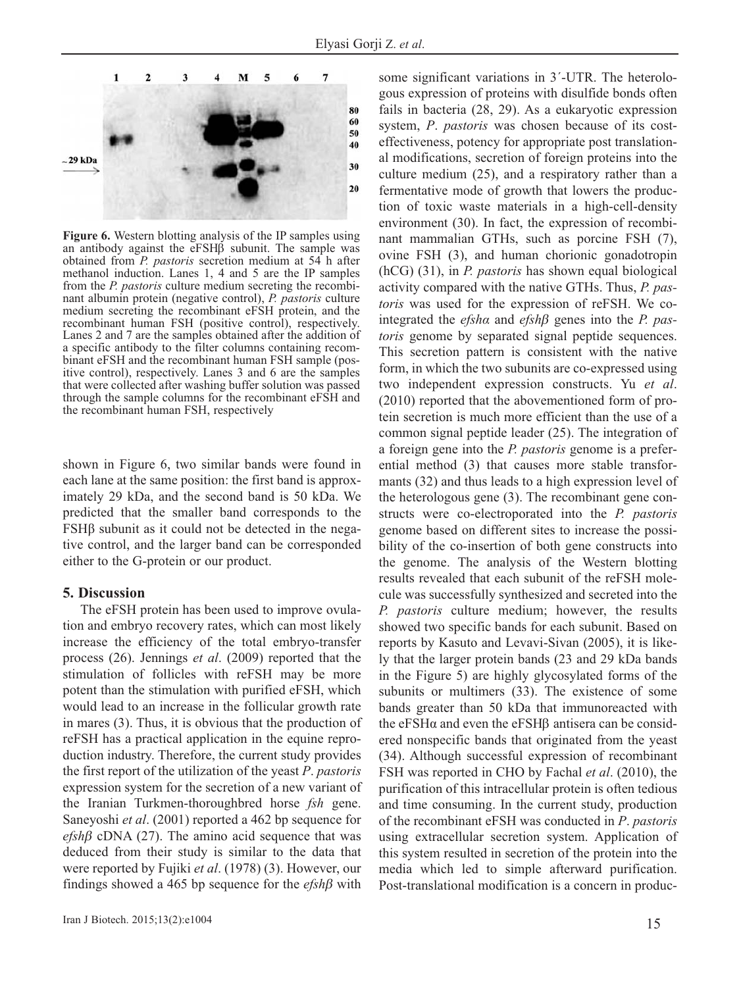

**Figure 6.** Western blotting analysis of the IP samples using an antibody against the eFSHβ subunit. The sample was obtained from *P. pastoris* secretion medium at 54 h after methanol induction. Lanes 1, 4 and 5 are the IP samples from the *P. pastoris* culture medium secreting the recombinant albumin protein (negative control), *P. pastoris* culture medium secreting the recombinant eFSH protein, and the recombinant human FSH (positive control), respectively. Lanes 2 and 7 are the samples obtained after the addition of a specific antibody to the filter columns containing recombinant eFSH and the recombinant human FSH sample (positive control), respectively. Lanes 3 and 6 are the samples that were collected after washing buffer solution was passed through the sample columns for the recombinant eFSH and the recombinant human FSH, respectively

shown in Figure 6, two similar bands were found in each lane at the same position: the first band is approximately 29 kDa, and the second band is 50 kDa. We predicted that the smaller band corresponds to the FSHβ subunit as it could not be detected in the negative control, and the larger band can be corresponded either to the G-protein or our product.

## **5. Discussion**

The eFSH protein has been used to improve ovulation and embryo recovery rates, which can most likely increase the efficiency of the total embryo-transfer process (26). Jennings *et al*. (2009) reported that the stimulation of follicles with reFSH may be more potent than the stimulation with purified eFSH, which would lead to an increase in the follicular growth rate in mares (3). Thus, it is obvious that the production of reFSH has a practical application in the equine reproduction industry. Therefore, the current study provides the first report of the utilization of the yeast *P*. *pastoris* expression system for the secretion of a new variant of the Iranian Turkmen-thoroughbred horse *fsh* gene. Saneyoshi *et al*. (2001) reported a 462 bp sequence for *efsh*β cDNA (27). The amino acid sequence that was deduced from their study is similar to the data that were reported by Fujiki *et al*. (1978) (3). However, our findings showed a 465 bp sequence for the *efsh*β with some significant variations in 3΄-UTR. The heterologous expression of proteins with disulfide bonds often fails in bacteria (28, 29). As a eukaryotic expression system, *P*. *pastoris* was chosen because of its costeffectiveness, potency for appropriate post translational modifications, secretion of foreign proteins into the culture medium (25), and a respiratory rather than a fermentative mode of growth that lowers the production of toxic waste materials in a high-cell-density environment (30). In fact, the expression of recombinant mammalian GTHs, such as porcine FSH (7), ovine FSH (3), and human chorionic gonadotropin (hCG) (31), in *P. pastoris* has shown equal biological activity compared with the native GTHs. Thus, *P. pastoris* was used for the expression of reFSH. We cointegrated the *efshα* and *efsh*β genes into the *P. pastoris* genome by separated signal peptide sequences. This secretion pattern is consistent with the native form, in which the two subunits are co-expressed using two independent expression constructs. Yu *et al*. (2010) reported that the abovementioned form of protein secretion is much more efficient than the use of a common signal peptide leader (25). The integration of a foreign gene into the *P. pastoris* genome is a preferential method (3) that causes more stable transformants (32) and thus leads to a high expression level of the heterologous gene (3). The recombinant gene constructs were co-electroporated into the *P. pastoris* genome based on different sites to increase the possibility of the co-insertion of both gene constructs into the genome. The analysis of the Western blotting results revealed that each subunit of the reFSH molecule was successfully synthesized and secreted into the *P. pastoris* culture medium; however, the results showed two specific bands for each subunit. Based on reports by Kasuto and Levavi-Sivan (2005), it is likely that the larger protein bands (23 and 29 kDa bands in the Figure 5) are highly glycosylated forms of the subunits or multimers (33). The existence of some bands greater than 50 kDa that immunoreacted with the eFSHα and even the eFSHβ antisera can be considered nonspecific bands that originated from the yeast (34). Although successful expression of recombinant FSH was reported in CHO by Fachal *et al*. (2010), the purification of this intracellular protein is often tedious and time consuming. In the current study, production of the recombinant eFSH was conducted in *P*. *pastoris* using extracellular secretion system. Application of this system resulted in secretion of the protein into the media which led to simple afterward purification. Post-translational modification is a concern in produc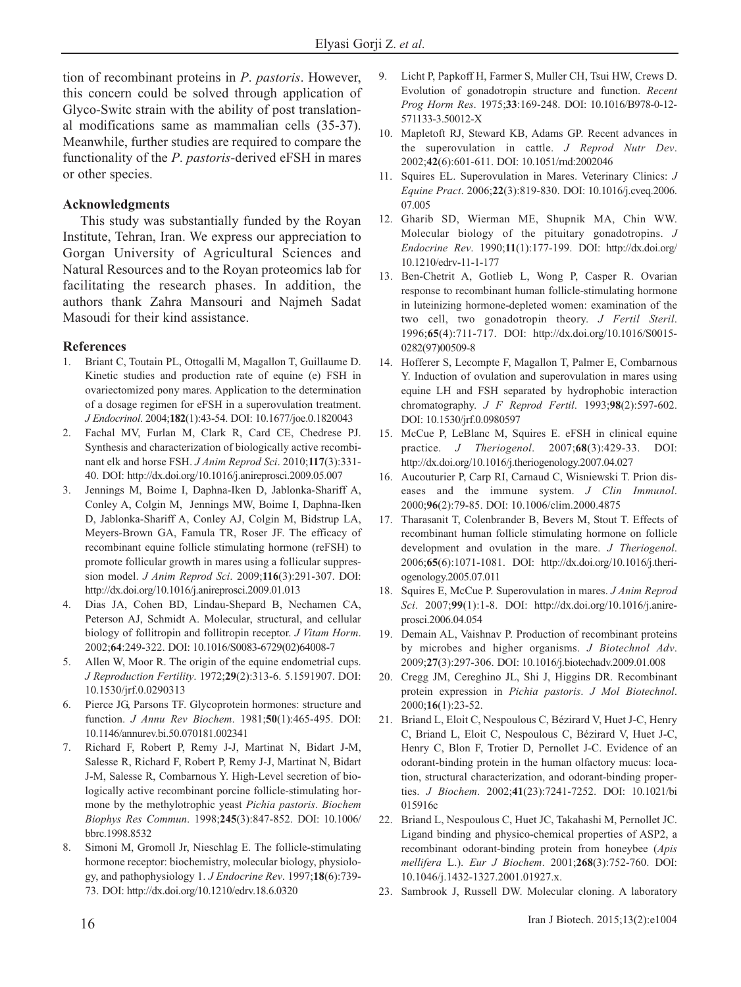tion of recombinant proteins in *P*. *pastoris*. However, this concern could be solved through application of Glyco-Switc strain with the ability of post translational modifications same as mammalian cells (35-37). Meanwhile, further studies are required to compare the functionality of the *P*. *pastoris*-derived eFSH in mares or other species.

# **Acknowledgments**

This study was substantially funded by the Royan Institute, Tehran, Iran. We express our appreciation to Gorgan University of Agricultural Sciences and Natural Resources and to the Royan proteomics lab for facilitating the research phases. In addition, the authors thank Zahra Mansouri and Najmeh Sadat Masoudi for their kind assistance.

## **References**

- 1. Briant C, Toutain PL, Ottogalli M, Magallon T, Guillaume D. Kinetic studies and production rate of equine (e) FSH in ovariectomized pony mares. Application to the determination of a dosage regimen for eFSH in a superovulation treatment. *J Endocrinol*. 2004;**182**(1):43-54. DOI: 10.1677/joe.0.1820043
- 2. Fachal MV, Furlan M, Clark R, Card CE, Chedrese PJ. Synthesis and characterization of biologically active recombinant elk and horse FSH. *J Anim Reprod Sci*. 2010;**117**(3):331- 40. DOI: http://dx.doi.org/10.1016/j.anireprosci.2009.05.007
- 3. Jennings M, Boime I, Daphna-Iken D, Jablonka-Shariff A, Conley A, Colgin M, Jennings MW, Boime I, Daphna-Iken D, Jablonka-Shariff A, Conley AJ, Colgin M, Bidstrup LA, Meyers-Brown GA, Famula TR, Roser JF. The efficacy of recombinant equine follicle stimulating hormone (reFSH) to promote follicular growth in mares using a follicular suppression model. *J Anim Reprod Sci*. 2009;**116**(3):291-307. DOI: http://dx.doi.org/10.1016/j.anireprosci.2009.01.013
- 4. Dias JA, Cohen BD, Lindau-Shepard B, Nechamen CA, Peterson AJ, Schmidt A. Molecular, structural, and cellular biology of follitropin and follitropin receptor. *J Vitam Horm*. 2002;**64**:249-322. DOI: 10.1016/S0083-6729(02)64008-7
- 5. Allen W, Moor R. The origin of the equine endometrial cups. *J Reproduction Fertility*. 1972;**29**(2):313-6. 5.1591907. DOI: 10.1530/jrf.0.0290313
- 6. Pierce JG, Parsons TF. Glycoprotein hormones: structure and function. *J Annu Rev Biochem*. 1981;**50**(1):465-495. DOI: 10.1146/annurev.bi.50.070181.002341
- 7. Richard F, Robert P, Remy J-J, Martinat N, Bidart J-M, Salesse R, Richard F, Robert P, Remy J-J, Martinat N, Bidart J-M, Salesse R, Combarnous Y. High-Level secretion of biologically active recombinant porcine follicle-stimulating hormone by the methylotrophic yeast *Pichia pastoris*. *Biochem Biophys Res Commun*. 1998;**245**(3):847-852. DOI: 10.1006/ bbrc.1998.8532
- Simoni M, Gromoll Jr, Nieschlag E. The follicle-stimulating hormone receptor: biochemistry, molecular biology, physiology, and pathophysiology 1. *J Endocrine Rev*. 1997;**18**(6):739- 73. DOI: http://dx.doi.org/10.1210/edrv.18.6.0320
- 9. Licht P, Papkoff H, Farmer S, Muller CH, Tsui HW, Crews D. Evolution of gonadotropin structure and function. *Recent Prog Horm Res*. 1975;**33**:169-248. DOI: 10.1016/B978-0-12- 571133-3.50012-X
- 10. Mapletoft RJ, Steward KB, Adams GP. Recent advances in the superovulation in cattle. *J Reprod Nutr Dev*. 2002;**42**(6):601-611. DOI: 10.1051/rnd:2002046
- 11. Squires EL. Superovulation in Mares. Veterinary Clinics: *J Equine Pract*. 2006;**22**(3):819-830. DOI: 10.1016/j.cveq.2006. 07.005
- 12. Gharib SD, Wierman ME, Shupnik MA, Chin WW. Molecular biology of the pituitary gonadotropins. *J Endocrine Rev*. 1990;**11**(1):177-199. DOI: http://dx.doi.org/ 10.1210/edrv-11-1-177
- 13. Ben-Chetrit A, Gotlieb L, Wong P, Casper R. Ovarian response to recombinant human follicle-stimulating hormone in luteinizing hormone-depleted women: examination of the two cell, two gonadotropin theory. *J Fertil Steril*. 1996;**65**(4):711-717. DOI: http://dx.doi.org/10.1016/S0015- 0282(97)00509-8
- 14. Hofferer S, Lecompte F, Magallon T, Palmer E, Combarnous Y. Induction of ovulation and superovulation in mares using equine LH and FSH separated by hydrophobic interaction chromatography. *J F Reprod Fertil*. 1993;**98**(2):597-602. DOI: 10.1530/jrf.0.0980597
- 15. McCue P, LeBlanc M, Squires E. eFSH in clinical equine practice. *J Theriogenol*. 2007;**68**(3):429-33. DOI: http://dx.doi.org/10.1016/j.theriogenology.2007.04.027
- 16. Aucouturier P, Carp RI, Carnaud C, Wisniewski T. Prion diseases and the immune system. *J Clin Immunol*. 2000;**96**(2):79-85. DOI: 10.1006/clim.2000.4875
- 17. Tharasanit T, Colenbrander B, Bevers M, Stout T. Effects of recombinant human follicle stimulating hormone on follicle development and ovulation in the mare. *J Theriogenol*. 2006;**65**(6):1071-1081. DOI: http://dx.doi.org/10.1016/j.theriogenology.2005.07.011
- 18. Squires E, McCue P. Superovulation in mares. *J Anim Reprod Sci*. 2007;**99**(1):1-8. DOI: http://dx.doi.org/10.1016/j.anireprosci.2006.04.054
- 19. Demain AL, Vaishnav P. Production of recombinant proteins by microbes and higher organisms. *J Biotechnol Adv*. 2009;**27**(3):297-306. DOI: 10.1016/j.biotechadv.2009.01.008
- 20. Cregg JM, Cereghino JL, Shi J, Higgins DR. Recombinant protein expression in *Pichia pastoris*. *J Mol Biotechnol*. 2000;**16**(1):23-52.
- 21. Briand L, Eloit C, Nespoulous C, Bézirard V, Huet J-C, Henry C, Briand L, Eloit C, Nespoulous C, Bézirard V, Huet J-C, Henry C, Blon F, Trotier D, Pernollet J-C. Evidence of an odorant-binding protein in the human olfactory mucus: location, structural characterization, and odorant-binding properties. *J Biochem*. 2002;**41**(23):7241-7252. DOI: 10.1021/bi 015916c
- 22. Briand L, Nespoulous C, Huet JC, Takahashi M, Pernollet JC. Ligand binding and physico-chemical properties of ASP2, a recombinant odorant-binding protein from honeybee (*Apis mellifera* L.). *Eur J Biochem*. 2001;**268**(3):752-760. DOI: 10.1046/j.1432-1327.2001.01927.x.
- 23. Sambrook J, Russell DW. Molecular cloning. A laboratory